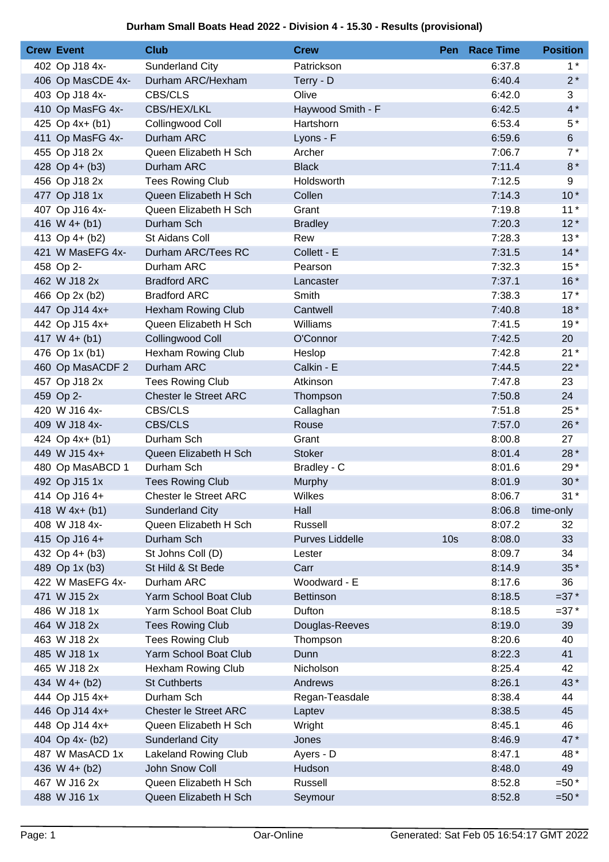## **Durham Small Boats Head 2022 - Division 4 - 15.30 - Results (provisional)**

| <b>Crew Event</b> | <b>Club</b>                  | <b>Crew</b>            |                 | Pen Race Time | <b>Position</b> |
|-------------------|------------------------------|------------------------|-----------------|---------------|-----------------|
| 402 Op J18 4x-    | Sunderland City              | Patrickson             |                 | 6:37.8        | $1^*$           |
| 406 Op MasCDE 4x- | Durham ARC/Hexham            | Terry - D              |                 | 6:40.4        | $2*$            |
| 403 Op J18 4x-    | CBS/CLS                      | Olive                  |                 | 6:42.0        | 3               |
| 410 Op MasFG 4x-  | CBS/HEX/LKL                  | Haywood Smith - F      |                 | 6:42.5        | $4*$            |
| 425 Op 4x+ (b1)   | Collingwood Coll             | Hartshorn              |                 | 6:53.4        | $5*$            |
| 411 Op MasFG 4x-  | Durham ARC                   | Lyons - F              |                 | 6:59.6        | $6 \,$          |
| 455 Op J18 2x     | Queen Elizabeth H Sch        | Archer                 |                 | 7:06.7        | $7*$            |
| 428 Op 4+ (b3)    | Durham ARC                   | <b>Black</b>           |                 | 7:11.4        | $8*$            |
| 456 Op J18 2x     | <b>Tees Rowing Club</b>      | Holdsworth             |                 | 7:12.5        | 9               |
| 477 Op J18 1x     | Queen Elizabeth H Sch        | Collen                 |                 | 7:14.3        | $10*$           |
| 407 Op J16 4x-    | Queen Elizabeth H Sch        | Grant                  |                 | 7:19.8        | $11*$           |
| 416 W 4+ (b1)     | Durham Sch                   | <b>Bradley</b>         |                 | 7:20.3        | $12*$           |
| 413 Op 4+ (b2)    | St Aidans Coll               | Rew                    |                 | 7:28.3        | $13*$           |
| 421 W MasEFG 4x-  | Durham ARC/Tees RC           | Collett - E            |                 | 7:31.5        | $14*$           |
| 458 Op 2-         | Durham ARC                   | Pearson                |                 | 7:32.3        | $15*$           |
| 462 W J18 2x      | <b>Bradford ARC</b>          | Lancaster              |                 | 7:37.1        | $16*$           |
| 466 Op 2x (b2)    | <b>Bradford ARC</b>          | Smith                  |                 | 7:38.3        | $17*$           |
| 447 Op J14 4x+    | <b>Hexham Rowing Club</b>    | Cantwell               |                 | 7:40.8        | $18*$           |
| 442 Op J15 4x+    | Queen Elizabeth H Sch        | Williams               |                 | 7:41.5        | $19*$           |
| 417 W $4+ (b1)$   | Collingwood Coll             | O'Connor               |                 | 7:42.5        | 20              |
| 476 Op 1x (b1)    | <b>Hexham Rowing Club</b>    | Heslop                 |                 | 7:42.8        | $21*$           |
| 460 Op MasACDF 2  | Durham ARC                   | Calkin - E             |                 | 7:44.5        | $22*$           |
| 457 Op J18 2x     | <b>Tees Rowing Club</b>      | Atkinson               |                 | 7:47.8        | 23              |
| 459 Op 2-         | <b>Chester le Street ARC</b> | Thompson               |                 | 7:50.8        | 24              |
| 420 W J16 4x-     | <b>CBS/CLS</b>               | Callaghan              |                 | 7:51.8        | 25 *            |
| 409 W J18 4x-     | <b>CBS/CLS</b>               | Rouse                  |                 | 7:57.0        | 26 *            |
| 424 Op 4x+ (b1)   | Durham Sch                   | Grant                  |                 | 8:00.8        | 27              |
| 449 W J15 4x+     | Queen Elizabeth H Sch        | <b>Stoker</b>          |                 | 8:01.4        | 28 *            |
| 480 Op MasABCD 1  | Durham Sch                   | Bradley - C            |                 | 8:01.6        | 29*             |
| 492 Op J15 1x     | <b>Tees Rowing Club</b>      | Murphy                 |                 | 8:01.9        | $30*$           |
| 414 Op J16 4+     | <b>Chester le Street ARC</b> | Wilkes                 |                 | 8:06.7        | $31*$           |
| 418 W $4x + (b1)$ | <b>Sunderland City</b>       | Hall                   |                 | 8:06.8        | time-only       |
| 408 W J18 4x-     | Queen Elizabeth H Sch        | Russell                |                 | 8:07.2        | 32              |
| 415 Op J16 4+     | Durham Sch                   | <b>Purves Liddelle</b> | 10 <sub>s</sub> | 8:08.0        | 33              |
| 432 Op 4+ (b3)    | St Johns Coll (D)            | Lester                 |                 | 8:09.7        | 34              |
| 489 Op 1x (b3)    | St Hild & St Bede            | Carr                   |                 | 8:14.9        | $35*$           |
| 422 W MasEFG 4x-  | Durham ARC                   | Woodward - E           |                 | 8:17.6        | 36              |
| 471 W J15 2x      | Yarm School Boat Club        | <b>Bettinson</b>       |                 | 8:18.5        | $=37*$          |
| 486 W J18 1x      | Yarm School Boat Club        | Dufton                 |                 | 8:18.5        | $=37*$          |
| 464 W J18 2x      | <b>Tees Rowing Club</b>      | Douglas-Reeves         |                 | 8:19.0        | 39              |
| 463 W J18 2x      | <b>Tees Rowing Club</b>      | Thompson               |                 | 8:20.6        | 40              |
| 485 W J18 1x      | Yarm School Boat Club        | Dunn                   |                 | 8:22.3        | 41              |
| 465 W J18 2x      | Hexham Rowing Club           | Nicholson              |                 | 8:25.4        | 42              |
| 434 W 4+ (b2)     | <b>St Cuthberts</b>          | Andrews                |                 | 8:26.1        | 43*             |
| 444 Op J15 4x+    | Durham Sch                   | Regan-Teasdale         |                 | 8:38.4        | 44              |
| 446 Op J14 4x+    | <b>Chester le Street ARC</b> | Laptev                 |                 | 8:38.5        | 45              |
| 448 Op J14 4x+    | Queen Elizabeth H Sch        | Wright                 |                 | 8:45.1        | 46              |
| 404 Op 4x- (b2)   | Sunderland City              | Jones                  |                 | 8:46.9        | 47*             |
| 487 W MasACD 1x   | <b>Lakeland Rowing Club</b>  | Ayers - D              |                 | 8:47.1        | 48*             |
| 436 W 4+ (b2)     | John Snow Coll               | Hudson                 |                 | 8:48.0        | 49              |
| 467 W J16 2x      | Queen Elizabeth H Sch        | Russell                |                 | 8:52.8        | $=50*$          |
| 488 W J16 1x      | Queen Elizabeth H Sch        | Seymour                |                 | 8:52.8        | $=50*$          |